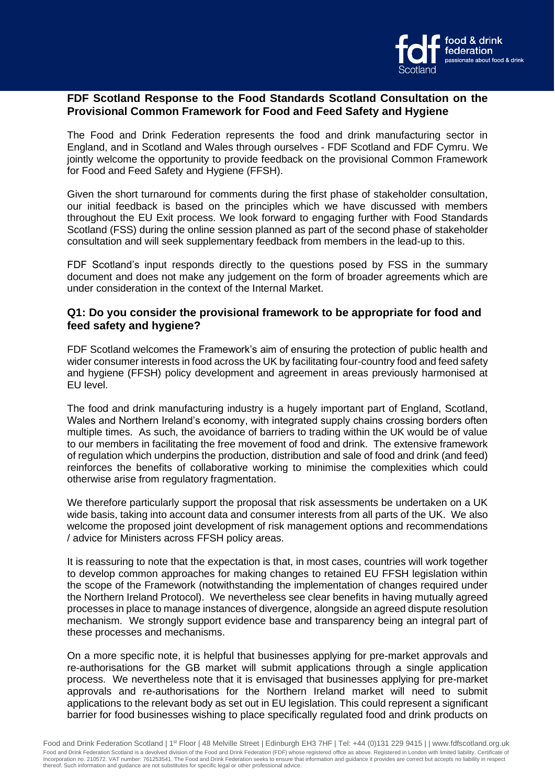

# **FDF Scotland Response to the Food Standards Scotland Consultation on the Provisional Common Framework for Food and Feed Safety and Hygiene**

The Food and Drink Federation represents the food and drink manufacturing sector in England, and in Scotland and Wales through ourselves - FDF Scotland and FDF Cymru. We jointly welcome the opportunity to provide feedback on the provisional Common Framework for Food and Feed Safety and Hygiene (FFSH).

Given the short turnaround for comments during the first phase of stakeholder consultation, our initial feedback is based on the principles which we have discussed with members throughout the EU Exit process. We look forward to engaging further with Food Standards Scotland (FSS) during the online session planned as part of the second phase of stakeholder consultation and will seek supplementary feedback from members in the lead-up to this.

FDF Scotland's input responds directly to the questions posed by FSS in the summary document and does not make any judgement on the form of broader agreements which are under consideration in the context of the Internal Market.

# **Q1: Do you consider the provisional framework to be appropriate for food and feed safety and hygiene?**

FDF Scotland welcomes the Framework's aim of ensuring the protection of public health and wider consumer interests in food across the UK by facilitating four-country food and feed safety and hygiene (FFSH) policy development and agreement in areas previously harmonised at EU level.

The food and drink manufacturing industry is a hugely important part of England, Scotland, Wales and Northern Ireland's economy, with integrated supply chains crossing borders often multiple times. As such, the avoidance of barriers to trading within the UK would be of value to our members in facilitating the free movement of food and drink. The extensive framework of regulation which underpins the production, distribution and sale of food and drink (and feed) reinforces the benefits of collaborative working to minimise the complexities which could otherwise arise from regulatory fragmentation.

We therefore particularly support the proposal that risk assessments be undertaken on a UK wide basis, taking into account data and consumer interests from all parts of the UK. We also welcome the proposed joint development of risk management options and recommendations / advice for Ministers across FFSH policy areas.

It is reassuring to note that the expectation is that, in most cases, countries will work together to develop common approaches for making changes to retained EU FFSH legislation within the scope of the Framework (notwithstanding the implementation of changes required under the Northern Ireland Protocol). We nevertheless see clear benefits in having mutually agreed processes in place to manage instances of divergence, alongside an agreed dispute resolution mechanism. We strongly support evidence base and transparency being an integral part of these processes and mechanisms.

On a more specific note, it is helpful that businesses applying for pre-market approvals and re-authorisations for the GB market will submit applications through a single application process. We nevertheless note that it is envisaged that businesses applying for pre-market approvals and re-authorisations for the Northern Ireland market will need to submit applications to the relevant body as set out in EU legislation. This could represent a significant barrier for food businesses wishing to place specifically regulated food and drink products on